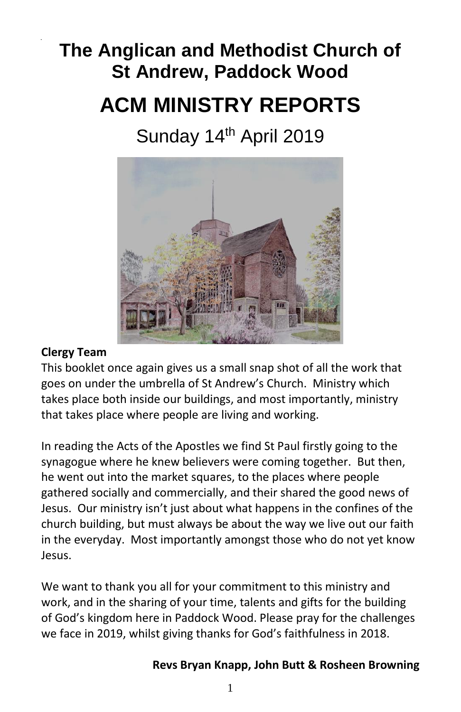# **The Anglican and Methodist Church of St Andrew, Paddock Wood**

# **ACM MINISTRY REPORTS**

# Sunday 14<sup>th</sup> April 2019



# **Clergy Team**

This booklet once again gives us a small snap shot of all the work that goes on under the umbrella of St Andrew's Church. Ministry which takes place both inside our buildings, and most importantly, ministry that takes place where people are living and working.

In reading the Acts of the Apostles we find St Paul firstly going to the synagogue where he knew believers were coming together. But then, he went out into the market squares, to the places where people gathered socially and commercially, and their shared the good news of Jesus. Our ministry isn't just about what happens in the confines of the church building, but must always be about the way we live out our faith in the everyday. Most importantly amongst those who do not yet know Jesus.

We want to thank you all for your commitment to this ministry and work, and in the sharing of your time, talents and gifts for the building of God's kingdom here in Paddock Wood. Please pray for the challenges we face in 2019, whilst giving thanks for God's faithfulness in 2018.

## **Revs Bryan Knapp, John Butt & Rosheen Browning**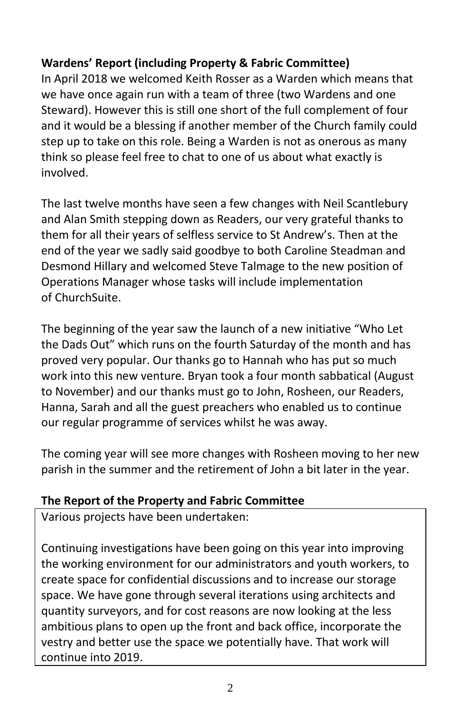# **Wardens' Report (including Property & Fabric Committee)**

In April 2018 we welcomed Keith Rosser as a Warden which means that we have once again run with a team of three (two Wardens and one Steward). However this is still one short of the full complement of four and it would be a blessing if another member of the Church family could step up to take on this role. Being a Warden is not as onerous as many think so please feel free to chat to one of us about what exactly is involved.

The last twelve months have seen a few changes with Neil Scantlebury and Alan Smith stepping down as Readers, our very grateful thanks to them for all their years of selfless service to St Andrew's. Then at the end of the year we sadly said goodbye to both Caroline Steadman and Desmond Hillary and welcomed Steve Talmage to the new position of Operations Manager whose tasks will include implementation of ChurchSuite.

The beginning of the year saw the launch of a new initiative "Who Let the Dads Out" which runs on the fourth Saturday of the month and has proved very popular. Our thanks go to Hannah who has put so much work into this new venture. Bryan took a four month sabbatical (August to November) and our thanks must go to John, Rosheen, our Readers, Hanna, Sarah and all the guest preachers who enabled us to continue our regular programme of services whilst he was away.

The coming year will see more changes with Rosheen moving to her new parish in the summer and the retirement of John a bit later in the year.

# **The Report of the Property and Fabric Committee**

Various projects have been undertaken:

Continuing investigations have been going on this year into improving the working environment for our administrators and youth workers, to create space for confidential discussions and to increase our storage space. We have gone through several iterations using architects and quantity surveyors, and for cost reasons are now looking at the less ambitious plans to open up the front and back office, incorporate the vestry and better use the space we potentially have. That work will continue into 2019.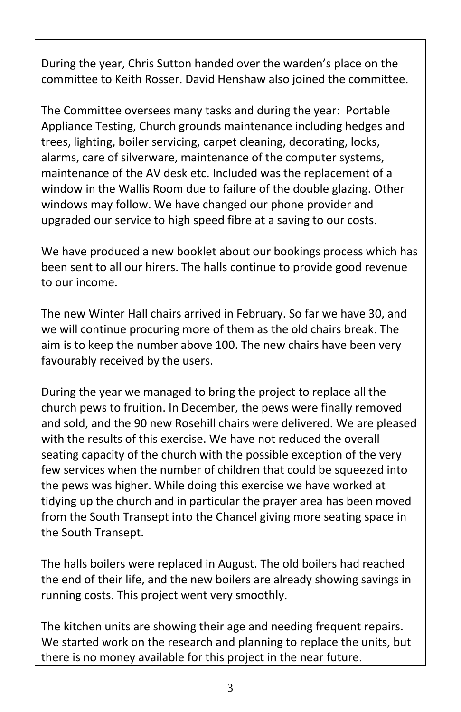During the year, Chris Sutton handed over the warden's place on the committee to Keith Rosser. David Henshaw also joined the committee.

The Committee oversees many tasks and during the year: Portable Appliance Testing, Church grounds maintenance including hedges and trees, lighting, boiler servicing, carpet cleaning, decorating, locks, alarms, care of silverware, maintenance of the computer systems, maintenance of the AV desk etc. Included was the replacement of a window in the Wallis Room due to failure of the double glazing. Other windows may follow. We have changed our phone provider and upgraded our service to high speed fibre at a saving to our costs.

We have produced a new booklet about our bookings process which has been sent to all our hirers. The halls continue to provide good revenue to our income.

The new Winter Hall chairs arrived in February. So far we have 30, and we will continue procuring more of them as the old chairs break. The aim is to keep the number above 100. The new chairs have been very favourably received by the users.

During the year we managed to bring the project to replace all the church pews to fruition. In December, the pews were finally removed and sold, and the 90 new Rosehill chairs were delivered. We are pleased with the results of this exercise. We have not reduced the overall seating capacity of the church with the possible exception of the very few services when the number of children that could be squeezed into the pews was higher. While doing this exercise we have worked at tidying up the church and in particular the prayer area has been moved from the South Transept into the Chancel giving more seating space in the South Transept.

The halls boilers were replaced in August. The old boilers had reached the end of their life, and the new boilers are already showing savings in running costs. This project went very smoothly.

The kitchen units are showing their age and needing frequent repairs. We started work on the research and planning to replace the units, but there is no money available for this project in the near future.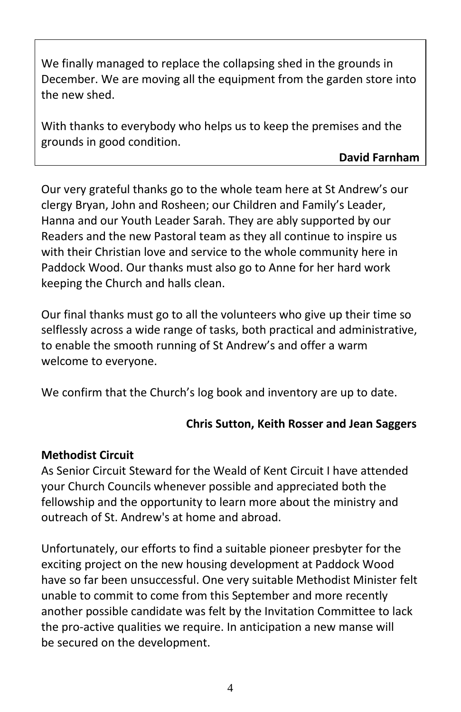We finally managed to replace the collapsing shed in the grounds in December. We are moving all the equipment from the garden store into the new shed.

With thanks to everybody who helps us to keep the premises and the grounds in good condition.

**David Farnham**

Our very grateful thanks go to the whole team here at St Andrew's our clergy Bryan, John and Rosheen; our Children and Family's Leader, Hanna and our Youth Leader Sarah. They are ably supported by our Readers and the new Pastoral team as they all continue to inspire us with their Christian love and service to the whole community here in Paddock Wood. Our thanks must also go to Anne for her hard work keeping the Church and halls clean.

Our final thanks must go to all the volunteers who give up their time so selflessly across a wide range of tasks, both practical and administrative, to enable the smooth running of St Andrew's and offer a warm welcome to everyone.

We confirm that the Church's log book and inventory are up to date.

## **Chris Sutton, Keith Rosser and Jean Saggers**

## **Methodist Circuit**

As Senior Circuit Steward for the Weald of Kent Circuit I have attended your Church Councils whenever possible and appreciated both the fellowship and the opportunity to learn more about the ministry and outreach of St. Andrew's at home and abroad.

Unfortunately, our efforts to find a suitable pioneer presbyter for the exciting project on the new housing development at Paddock Wood have so far been unsuccessful. One very suitable Methodist Minister felt unable to commit to come from this September and more recently another possible candidate was felt by the Invitation Committee to lack the pro-active qualities we require. In anticipation a new manse will be secured on the development.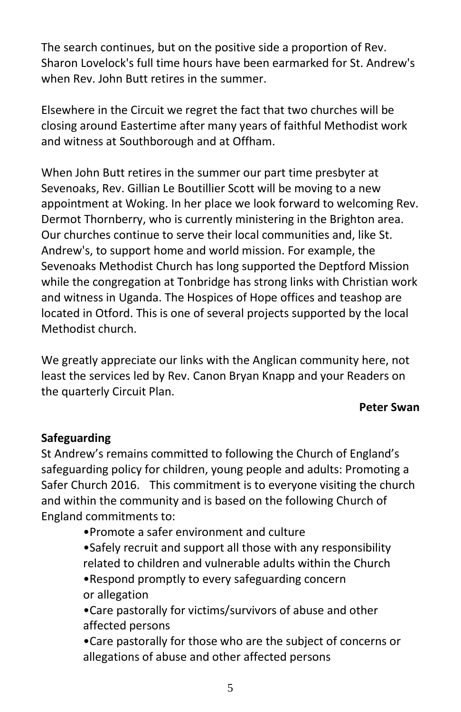The search continues, but on the positive side a proportion of Rev. Sharon Lovelock's full time hours have been earmarked for St. Andrew's when Rev. John Butt retires in the summer.

Elsewhere in the Circuit we regret the fact that two churches will be closing around Eastertime after many years of faithful Methodist work and witness at Southborough and at Offham.

When John Butt retires in the summer our part time presbyter at Sevenoaks, Rev. Gillian Le Boutillier Scott will be moving to a new appointment at Woking. In her place we look forward to welcoming Rev. Dermot Thornberry, who is currently ministering in the Brighton area. Our churches continue to serve their local communities and, like St. Andrew's, to support home and world mission. For example, the Sevenoaks Methodist Church has long supported the Deptford Mission while the congregation at Tonbridge has strong links with Christian work and witness in Uganda. The Hospices of Hope offices and teashop are located in Otford. This is one of several projects supported by the local Methodist church.

We greatly appreciate our links with the Anglican community here, not least the services led by Rev. Canon Bryan Knapp and your Readers on the quarterly Circuit Plan.

#### **Peter Swan**

## **Safeguarding**

St Andrew's remains committed to following the Church of England's safeguarding policy for children, young people and adults: Promoting a Safer Church 2016. This commitment is to everyone visiting the church and within the community and is based on the following Church of England commitments to:

•Promote a safer environment and culture

- •Safely recruit and support all those with any responsibility related to children and vulnerable adults within the Church
- •Respond promptly to every safeguarding concern or allegation
- •Care pastorally for victims/survivors of abuse and other affected persons
- •Care pastorally for those who are the subject of concerns or allegations of abuse and other affected persons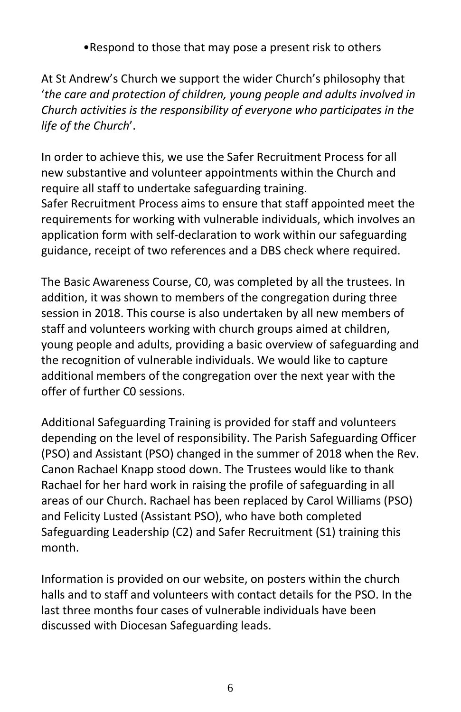•Respond to those that may pose a present risk to others

At St Andrew's Church we support the wider Church's philosophy that '*the care and protection of children, young people and adults involved in Church activities is the responsibility of everyone who participates in the life of the Church*'.

In order to achieve this, we use the Safer Recruitment Process for all new substantive and volunteer appointments within the Church and require all staff to undertake safeguarding training.

Safer Recruitment Process aims to ensure that staff appointed meet the requirements for working with vulnerable individuals, which involves an application form with self-declaration to work within our safeguarding guidance, receipt of two references and a DBS check where required.

The Basic Awareness Course, C0, was completed by all the trustees. In addition, it was shown to members of the congregation during three session in 2018. This course is also undertaken by all new members of staff and volunteers working with church groups aimed at children, young people and adults, providing a basic overview of safeguarding and the recognition of vulnerable individuals. We would like to capture additional members of the congregation over the next year with the offer of further C0 sessions.

Additional Safeguarding Training is provided for staff and volunteers depending on the level of responsibility. The Parish Safeguarding Officer (PSO) and Assistant (PSO) changed in the summer of 2018 when the Rev. Canon Rachael Knapp stood down. The Trustees would like to thank Rachael for her hard work in raising the profile of safeguarding in all areas of our Church. Rachael has been replaced by Carol Williams (PSO) and Felicity Lusted (Assistant PSO), who have both completed Safeguarding Leadership (C2) and Safer Recruitment (S1) training this month.

Information is provided on our website, on posters within the church halls and to staff and volunteers with contact details for the PSO. In the last three months four cases of vulnerable individuals have been discussed with Diocesan Safeguarding leads.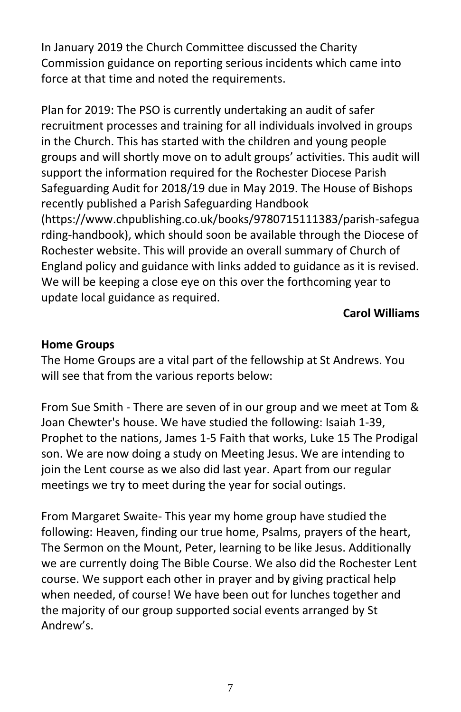In January 2019 the Church Committee discussed the Charity Commission guidance on reporting serious incidents which came into force at that time and noted the requirements.

Plan for 2019: The PSO is currently undertaking an audit of safer recruitment processes and training for all individuals involved in groups in the Church. This has started with the children and young people groups and will shortly move on to adult groups' activities. This audit will support the information required for the Rochester Diocese Parish Safeguarding Audit for 2018/19 due in May 2019. The House of Bishops recently published a Parish Safeguarding Handbook (https://www.chpublishing.co.uk/books/9780715111383/parish-safegua rding-handbook), which should soon be available through the Diocese of Rochester website. This will provide an overall summary of Church of England policy and guidance with links added to guidance as it is revised. We will be keeping a close eye on this over the forthcoming year to update local guidance as required.

#### **Carol Williams**

#### **Home Groups**

The Home Groups are a vital part of the fellowship at St Andrews. You will see that from the various reports below:

From Sue Smith - There are seven of in our group and we meet at Tom & Joan Chewter's house. We have studied the following: Isaiah 1-39, Prophet to the nations, James 1-5 Faith that works, Luke 15 The Prodigal son. We are now doing a study on Meeting Jesus. We are intending to join the Lent course as we also did last year. Apart from our regular meetings we try to meet during the year for social outings.

From Margaret Swaite- This year my home group have studied the following: Heaven, finding our true home, Psalms, prayers of the heart, The Sermon on the Mount, Peter, learning to be like Jesus. Additionally we are currently doing The Bible Course. We also did the Rochester Lent course. We support each other in prayer and by giving practical help when needed, of course! We have been out for lunches together and the majority of our group supported social events arranged by St Andrew's.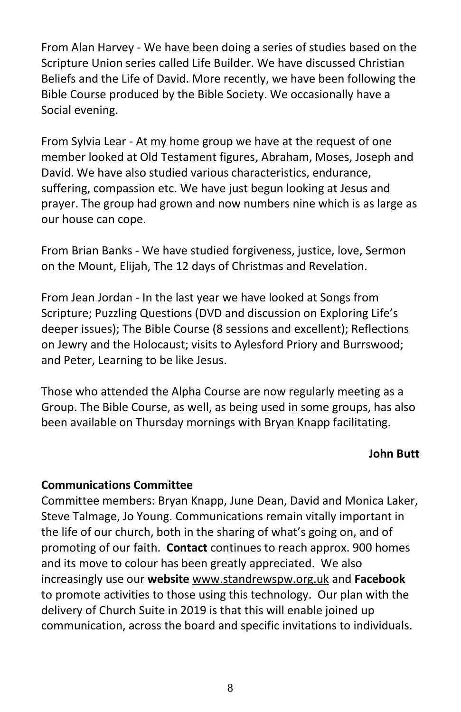From Alan Harvey - We have been doing a series of studies based on the Scripture Union series called Life Builder. We have discussed Christian Beliefs and the Life of David. More recently, we have been following the Bible Course produced by the Bible Society. We occasionally have a Social evening.

From Sylvia Lear - At my home group we have at the request of one member looked at Old Testament figures, Abraham, Moses, Joseph and David. We have also studied various characteristics, endurance, suffering, compassion etc. We have just begun looking at Jesus and prayer. The group had grown and now numbers nine which is as large as our house can cope.

From Brian Banks - We have studied forgiveness, justice, love, Sermon on the Mount, Elijah, The 12 days of Christmas and Revelation.

From Jean Jordan - In the last year we have looked at Songs from Scripture; Puzzling Questions (DVD and discussion on Exploring Life's deeper issues); The Bible Course (8 sessions and excellent); Reflections on Jewry and the Holocaust; visits to Aylesford Priory and Burrswood; and Peter, Learning to be like Jesus.

Those who attended the Alpha Course are now regularly meeting as a Group. The Bible Course, as well, as being used in some groups, has also been available on Thursday mornings with Bryan Knapp facilitating.

#### **John Butt**

#### **Communications Committee**

Committee members: Bryan Knapp, June Dean, David and Monica Laker, Steve Talmage, Jo Young. Communications remain vitally important in the life of our church, both in the sharing of what's going on, and of promoting of our faith. **Contact** continues to reach approx. 900 homes and its move to colour has been greatly appreciated. We also increasingly use our **website** [www.standrewspw.org.uk](http://www.standrewspw.org.uk/) and **Facebook** to promote activities to those using this technology. Our plan with the delivery of Church Suite in 2019 is that this will enable joined up communication, across the board and specific invitations to individuals.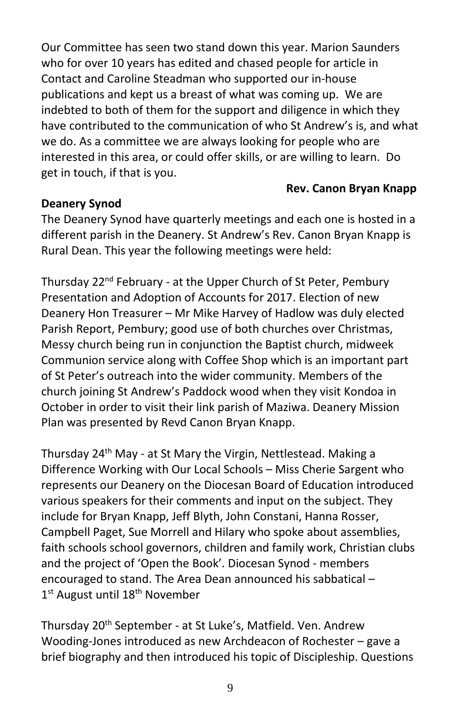Our Committee has seen two stand down this year. Marion Saunders who for over 10 years has edited and chased people for article in Contact and Caroline Steadman who supported our in-house publications and kept us a breast of what was coming up. We are indebted to both of them for the support and diligence in which they have contributed to the communication of who St Andrew's is, and what we do. As a committee we are always looking for people who are interested in this area, or could offer skills, or are willing to learn. Do get in touch, if that is you.

#### **Rev. Canon Bryan Knapp**

## **Deanery Synod**

The Deanery Synod have quarterly meetings and each one is hosted in a different parish in the Deanery. St Andrew's Rev. Canon Bryan Knapp is Rural Dean. This year the following meetings were held:

Thursday 22<sup>nd</sup> February - at the Upper Church of St Peter, Pembury Presentation and Adoption of Accounts for 2017. Election of new Deanery Hon Treasurer – Mr Mike Harvey of Hadlow was duly elected Parish Report, Pembury; good use of both churches over Christmas, Messy church being run in conjunction the Baptist church, midweek Communion service along with Coffee Shop which is an important part of St Peter's outreach into the wider community. Members of the church joining St Andrew's Paddock wood when they visit Kondoa in October in order to visit their link parish of Maziwa. Deanery Mission Plan was presented by Revd Canon Bryan Knapp.

Thursday 24<sup>th</sup> May - at St Mary the Virgin, Nettlestead. Making a Difference Working with Our Local Schools – Miss Cherie Sargent who represents our Deanery on the Diocesan Board of Education introduced various speakers for their comments and input on the subject. They include for Bryan Knapp, Jeff Blyth, John Constani, Hanna Rosser, Campbell Paget, Sue Morrell and Hilary who spoke about assemblies, faith schools school governors, children and family work, Christian clubs and the project of 'Open the Book'. Diocesan Synod - members encouraged to stand. The Area Dean announced his sabbatical – 1<sup>st</sup> August until 18<sup>th</sup> November

Thursday 20<sup>th</sup> September - at St Luke's, Matfield. Ven. Andrew Wooding-Jones introduced as new Archdeacon of Rochester – gave a brief biography and then introduced his topic of Discipleship. Questions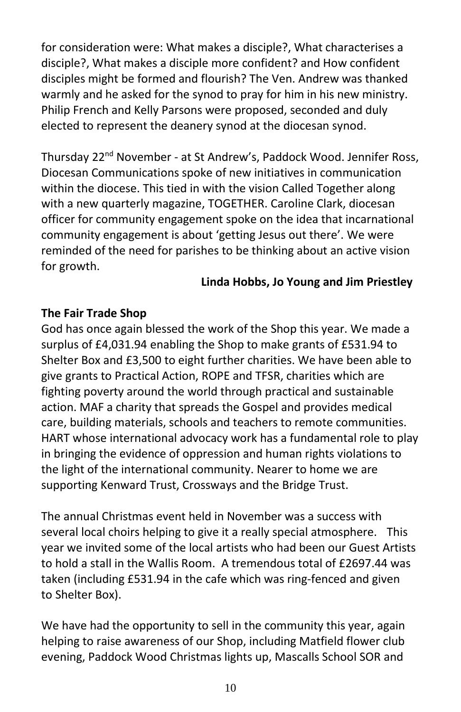for consideration were: What makes a disciple?, What characterises a disciple?, What makes a disciple more confident? and How confident disciples might be formed and flourish? The Ven. Andrew was thanked warmly and he asked for the synod to pray for him in his new ministry. Philip French and Kelly Parsons were proposed, seconded and duly elected to represent the deanery synod at the diocesan synod.

Thursday 22nd November - at St Andrew's, Paddock Wood. Jennifer Ross, Diocesan Communications spoke of new initiatives in communication within the diocese. This tied in with the vision Called Together along with a new quarterly magazine, TOGETHER. Caroline Clark, diocesan officer for community engagement spoke on the idea that incarnational community engagement is about 'getting Jesus out there'. We were reminded of the need for parishes to be thinking about an active vision for growth.

## **Linda Hobbs, Jo Young and Jim Priestley**

#### **The Fair Trade Shop**

God has once again blessed the work of the Shop this year. We made a surplus of £4,031.94 enabling the Shop to make grants of £531.94 to Shelter Box and £3,500 to eight further charities. We have been able to give grants to Practical Action, ROPE and TFSR, charities which are fighting poverty around the world through practical and sustainable action. MAF a charity that spreads the Gospel and provides medical care, building materials, schools and teachers to remote communities. HART whose international advocacy work has a fundamental role to play in bringing the evidence of oppression and human rights violations to the light of the international community. Nearer to home we are supporting Kenward Trust, Crossways and the Bridge Trust.

The annual Christmas event held in November was a success with several local choirs helping to give it a really special atmosphere. This year we invited some of the local artists who had been our Guest Artists to hold a stall in the Wallis Room. A tremendous total of £2697.44 was taken (including £531.94 in the cafe which was ring-fenced and given to Shelter Box).

We have had the opportunity to sell in the community this year, again helping to raise awareness of our Shop, including Matfield flower club evening, Paddock Wood Christmas lights up, Mascalls School SOR and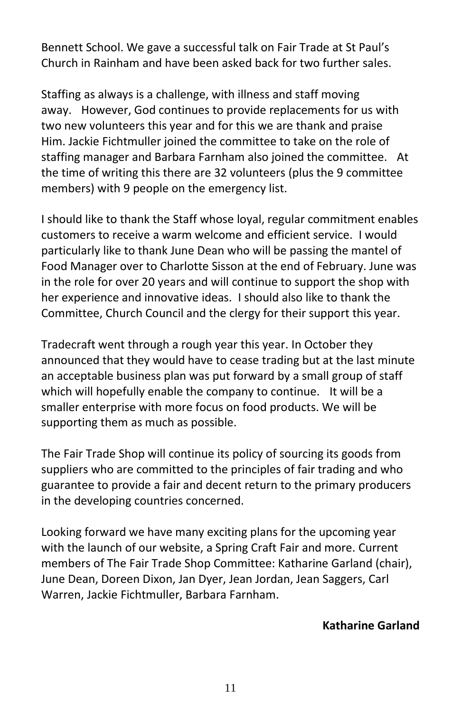Bennett School. We gave a successful talk on Fair Trade at St Paul's Church in Rainham and have been asked back for two further sales.

Staffing as always is a challenge, with illness and staff moving away. However, God continues to provide replacements for us with two new volunteers this year and for this we are thank and praise Him. Jackie Fichtmuller joined the committee to take on the role of staffing manager and Barbara Farnham also joined the committee. At the time of writing this there are 32 volunteers (plus the 9 committee members) with 9 people on the emergency list.

I should like to thank the Staff whose loyal, regular commitment enables customers to receive a warm welcome and efficient service. I would particularly like to thank June Dean who will be passing the mantel of Food Manager over to Charlotte Sisson at the end of February. June was in the role for over 20 years and will continue to support the shop with her experience and innovative ideas. I should also like to thank the Committee, Church Council and the clergy for their support this year.

Tradecraft went through a rough year this year. In October they announced that they would have to cease trading but at the last minute an acceptable business plan was put forward by a small group of staff which will hopefully enable the company to continue. It will be a smaller enterprise with more focus on food products. We will be supporting them as much as possible.

The Fair Trade Shop will continue its policy of sourcing its goods from suppliers who are committed to the principles of fair trading and who guarantee to provide a fair and decent return to the primary producers in the developing countries concerned.

Looking forward we have many exciting plans for the upcoming year with the launch of our website, a Spring Craft Fair and more. Current members of The Fair Trade Shop Committee: Katharine Garland (chair), June Dean, Doreen Dixon, Jan Dyer, Jean Jordan, Jean Saggers, Carl Warren, Jackie Fichtmuller, Barbara Farnham.

#### **Katharine Garland**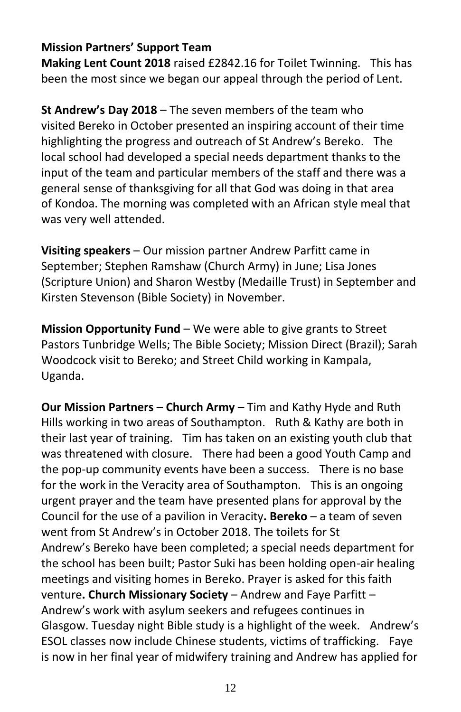## **Mission Partners' Support Team**

**Making Lent Count 2018** raised £2842.16 for Toilet Twinning. This has been the most since we began our appeal through the period of Lent.

**St Andrew's Day 2018** – The seven members of the team who visited Bereko in October presented an inspiring account of their time highlighting the progress and outreach of St Andrew's Bereko. The local school had developed a special needs department thanks to the input of the team and particular members of the staff and there was a general sense of thanksgiving for all that God was doing in that area of Kondoa. The morning was completed with an African style meal that was very well attended.

**Visiting speakers** – Our mission partner Andrew Parfitt came in September; Stephen Ramshaw (Church Army) in June; Lisa Jones (Scripture Union) and Sharon Westby (Medaille Trust) in September and Kirsten Stevenson (Bible Society) in November.

**Mission Opportunity Fund** – We were able to give grants to Street Pastors Tunbridge Wells; The Bible Society; Mission Direct (Brazil); Sarah Woodcock visit to Bereko; and Street Child working in Kampala, Uganda.

**Our Mission Partners – Church Army** – Tim and Kathy Hyde and Ruth Hills working in two areas of Southampton. Ruth & Kathy are both in their last year of training. Tim has taken on an existing youth club that was threatened with closure. There had been a good Youth Camp and the pop-up community events have been a success. There is no base for the work in the Veracity area of Southampton. This is an ongoing urgent prayer and the team have presented plans for approval by the Council for the use of a pavilion in Veracity**. Bereko** – a team of seven went from St Andrew's in October 2018. The toilets for St Andrew's Bereko have been completed; a special needs department for the school has been built; Pastor Suki has been holding open-air healing meetings and visiting homes in Bereko. Prayer is asked for this faith venture**. Church Missionary Society** – Andrew and Faye Parfitt – Andrew's work with asylum seekers and refugees continues in Glasgow. Tuesday night Bible study is a highlight of the week. Andrew's ESOL classes now include Chinese students, victims of trafficking. Faye is now in her final year of midwifery training and Andrew has applied for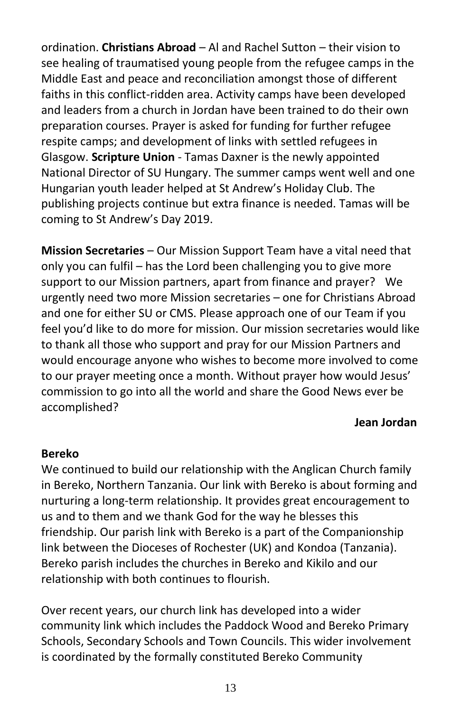ordination. **Christians Abroad** – Al and Rachel Sutton – their vision to see healing of traumatised young people from the refugee camps in the Middle East and peace and reconciliation amongst those of different faiths in this conflict-ridden area. Activity camps have been developed and leaders from a church in Jordan have been trained to do their own preparation courses. Prayer is asked for funding for further refugee respite camps; and development of links with settled refugees in Glasgow. **Scripture Union** - Tamas Daxner is the newly appointed National Director of SU Hungary. The summer camps went well and one Hungarian youth leader helped at St Andrew's Holiday Club. The publishing projects continue but extra finance is needed. Tamas will be coming to St Andrew's Day 2019.

**Mission Secretaries** – Our Mission Support Team have a vital need that only you can fulfil – has the Lord been challenging you to give more support to our Mission partners, apart from finance and prayer? We urgently need two more Mission secretaries – one for Christians Abroad and one for either SU or CMS. Please approach one of our Team if you feel you'd like to do more for mission. Our mission secretaries would like to thank all those who support and pray for our Mission Partners and would encourage anyone who wishes to become more involved to come to our prayer meeting once a month. Without prayer how would Jesus' commission to go into all the world and share the Good News ever be accomplished?

#### **Jean Jordan**

#### **Bereko**

We continued to build our relationship with the Anglican Church family in Bereko, Northern Tanzania. Our link with Bereko is about forming and nurturing a long-term relationship. It provides great encouragement to us and to them and we thank God for the way he blesses this friendship. Our parish link with Bereko is a part of the Companionship link between the Dioceses of Rochester (UK) and Kondoa (Tanzania). Bereko parish includes the churches in Bereko and Kikilo and our relationship with both continues to flourish.

Over recent years, our church link has developed into a wider community link which includes the Paddock Wood and Bereko Primary Schools, Secondary Schools and Town Councils. This wider involvement is coordinated by the formally constituted Bereko Community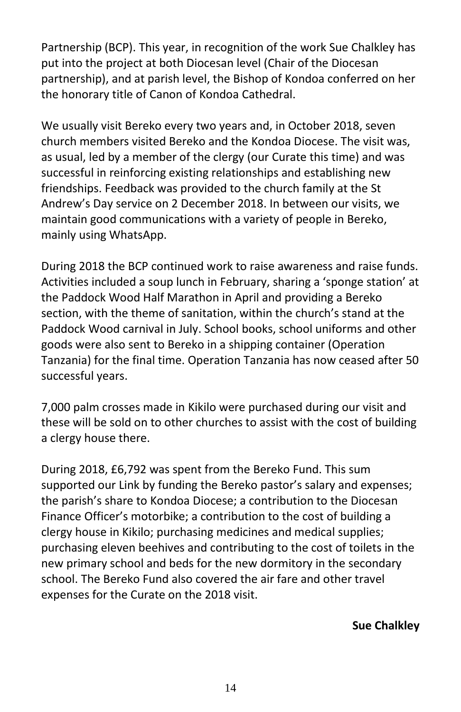Partnership (BCP). This year, in recognition of the work Sue Chalkley has put into the project at both Diocesan level (Chair of the Diocesan partnership), and at parish level, the Bishop of Kondoa conferred on her the honorary title of Canon of Kondoa Cathedral.

We usually visit Bereko every two years and, in October 2018, seven church members visited Bereko and the Kondoa Diocese. The visit was, as usual, led by a member of the clergy (our Curate this time) and was successful in reinforcing existing relationships and establishing new friendships. Feedback was provided to the church family at the St Andrew's Day service on 2 December 2018. In between our visits, we maintain good communications with a variety of people in Bereko, mainly using WhatsApp.

During 2018 the BCP continued work to raise awareness and raise funds. Activities included a soup lunch in February, sharing a 'sponge station' at the Paddock Wood Half Marathon in April and providing a Bereko section, with the theme of sanitation, within the church's stand at the Paddock Wood carnival in July. School books, school uniforms and other goods were also sent to Bereko in a shipping container (Operation Tanzania) for the final time. Operation Tanzania has now ceased after 50 successful years.

7,000 palm crosses made in Kikilo were purchased during our visit and these will be sold on to other churches to assist with the cost of building a clergy house there.

During 2018, £6,792 was spent from the Bereko Fund. This sum supported our Link by funding the Bereko pastor's salary and expenses; the parish's share to Kondoa Diocese; a contribution to the Diocesan Finance Officer's motorbike; a contribution to the cost of building a clergy house in Kikilo; purchasing medicines and medical supplies; purchasing eleven beehives and contributing to the cost of toilets in the new primary school and beds for the new dormitory in the secondary school. The Bereko Fund also covered the air fare and other travel expenses for the Curate on the 2018 visit.

**Sue Chalkley**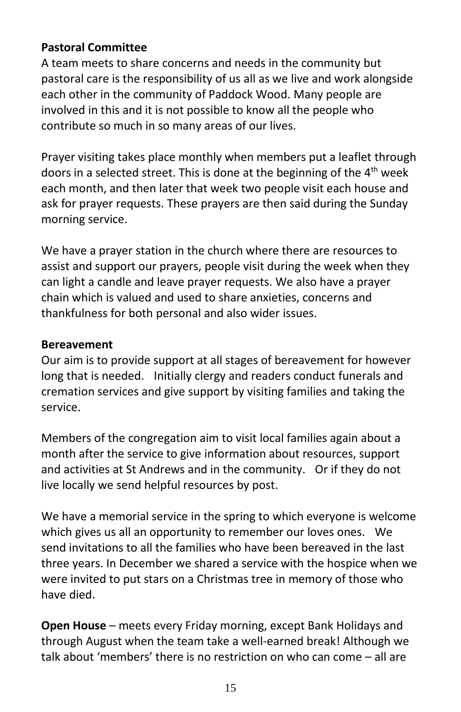## **Pastoral Committee**

A team meets to share concerns and needs in the community but pastoral care is the responsibility of us all as we live and work alongside each other in the community of Paddock Wood. Many people are involved in this and it is not possible to know all the people who contribute so much in so many areas of our lives.

Prayer visiting takes place monthly when members put a leaflet through doors in a selected street. This is done at the beginning of the  $4<sup>th</sup>$  week each month, and then later that week two people visit each house and ask for prayer requests. These prayers are then said during the Sunday morning service.

We have a prayer station in the church where there are resources to assist and support our prayers, people visit during the week when they can light a candle and leave prayer requests. We also have a prayer chain which is valued and used to share anxieties, concerns and thankfulness for both personal and also wider issues.

## **Bereavement**

Our aim is to provide support at all stages of bereavement for however long that is needed. Initially clergy and readers conduct funerals and cremation services and give support by visiting families and taking the service.

Members of the congregation aim to visit local families again about a month after the service to give information about resources, support and activities at St Andrews and in the community. Or if they do not live locally we send helpful resources by post.

We have a memorial service in the spring to which everyone is welcome which gives us all an opportunity to remember our loves ones. We send invitations to all the families who have been bereaved in the last three years. In December we shared a service with the hospice when we were invited to put stars on a Christmas tree in memory of those who have died.

**Open House** – meets every Friday morning, except Bank Holidays and through August when the team take a well-earned break! Although we talk about 'members' there is no restriction on who can come – all are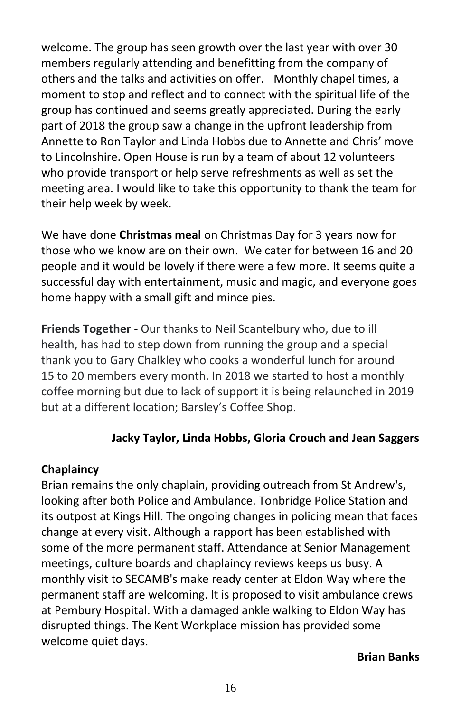welcome. The group has seen growth over the last year with over 30 members regularly attending and benefitting from the company of others and the talks and activities on offer. Monthly chapel times, a moment to stop and reflect and to connect with the spiritual life of the group has continued and seems greatly appreciated. During the early part of 2018 the group saw a change in the upfront leadership from Annette to Ron Taylor and Linda Hobbs due to Annette and Chris' move to Lincolnshire. Open House is run by a team of about 12 volunteers who provide transport or help serve refreshments as well as set the meeting area. I would like to take this opportunity to thank the team for their help week by week.

We have done **Christmas meal** on Christmas Day for 3 years now for those who we know are on their own. We cater for between 16 and 20 people and it would be lovely if there were a few more. It seems quite a successful day with entertainment, music and magic, and everyone goes home happy with a small gift and mince pies.

**Friends Together** - Our thanks to Neil Scantelbury who, due to ill health, has had to step down from running the group and a special thank you to Gary Chalkley who cooks a wonderful lunch for around 15 to 20 members every month. In 2018 we started to host a monthly coffee morning but due to lack of support it is being relaunched in 2019 but at a different location; Barsley's Coffee Shop.

## **Jacky Taylor, Linda Hobbs, Gloria Crouch and Jean Saggers**

## **Chaplaincy**

Brian remains the only chaplain, providing outreach from St Andrew's, looking after both Police and Ambulance. Tonbridge Police Station and its outpost at Kings Hill. The ongoing changes in policing mean that faces change at every visit. Although a rapport has been established with some of the more permanent staff. Attendance at Senior Management meetings, culture boards and chaplaincy reviews keeps us busy. A monthly visit to SECAMB's make ready center at Eldon Way where the permanent staff are welcoming. It is proposed to visit ambulance crews at Pembury Hospital. With a damaged ankle walking to Eldon Way has disrupted things. The Kent Workplace mission has provided some welcome quiet days.

**Brian Banks**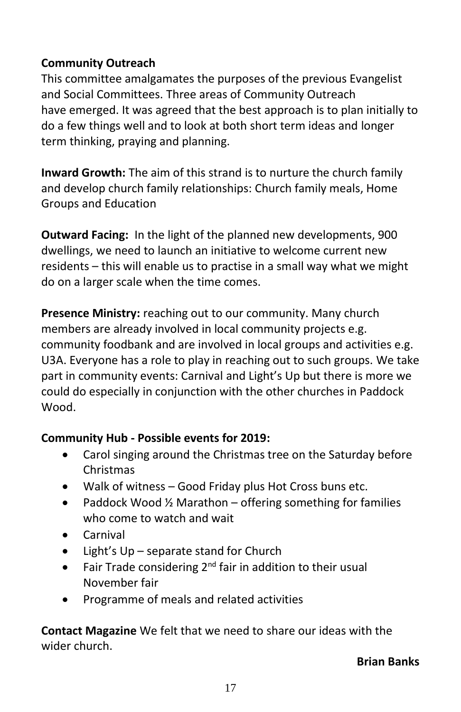## **Community Outreach**

This committee amalgamates the purposes of the previous Evangelist and Social Committees. Three areas of Community Outreach have emerged. It was agreed that the best approach is to plan initially to do a few things well and to look at both short term ideas and longer term thinking, praying and planning.

**Inward Growth:** The aim of this strand is to nurture the church family and develop church family relationships: Church family meals, Home Groups and Education

**Outward Facing:** In the light of the planned new developments, 900 dwellings, we need to launch an initiative to welcome current new residents – this will enable us to practise in a small way what we might do on a larger scale when the time comes.

**Presence Ministry:** reaching out to our community. Many church members are already involved in local community projects e.g. community foodbank and are involved in local groups and activities e.g. U3A. Everyone has a role to play in reaching out to such groups. We take part in community events: Carnival and Light's Up but there is more we could do especially in conjunction with the other churches in Paddock Wood.

## **Community Hub - Possible events for 2019:**

- Carol singing around the Christmas tree on the Saturday before Christmas
- Walk of witness Good Friday plus Hot Cross buns etc.
- Paddock Wood ½ Marathon offering something for families who come to watch and wait
- Carnival
- Light's Up separate stand for Church
- Fair Trade considering  $2^{nd}$  fair in addition to their usual November fair
- Programme of meals and related activities

**Contact Magazine** We felt that we need to share our ideas with the wider church.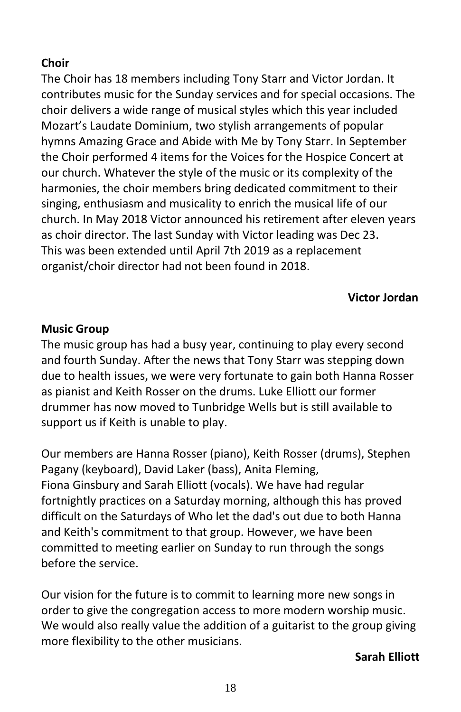## **Choir**

The Choir has 18 members including Tony Starr and Victor Jordan. It contributes music for the Sunday services and for special occasions. The choir delivers a wide range of musical styles which this year included Mozart's Laudate Dominium, two stylish arrangements of popular hymns Amazing Grace and Abide with Me by Tony Starr. In September the Choir performed 4 items for the Voices for the Hospice Concert at our church. Whatever the style of the music or its complexity of the harmonies, the choir members bring dedicated commitment to their singing, enthusiasm and musicality to enrich the musical life of our church. In May 2018 Victor announced his retirement after eleven years as choir director. The last Sunday with Victor leading was Dec 23. This was been extended until April 7th 2019 as a replacement organist/choir director had not been found in 2018.

#### **Victor Jordan**

#### **Music Group**

The music group has had a busy year, continuing to play every second and fourth Sunday. After the news that Tony Starr was stepping down due to health issues, we were very fortunate to gain both Hanna Rosser as pianist and Keith Rosser on the drums. Luke Elliott our former drummer has now moved to Tunbridge Wells but is still available to support us if Keith is unable to play.

Our members are Hanna Rosser (piano), Keith Rosser (drums), Stephen Pagany (keyboard), David Laker (bass), Anita Fleming, Fiona Ginsbury and Sarah Elliott (vocals). We have had regular fortnightly practices on a Saturday morning, although this has proved difficult on the Saturdays of Who let the dad's out due to both Hanna and Keith's commitment to that group. However, we have been committed to meeting earlier on Sunday to run through the songs before the service.

Our vision for the future is to commit to learning more new songs in order to give the congregation access to more modern worship music. We would also really value the addition of a guitarist to the group giving more flexibility to the other musicians.

#### **Sarah Elliott**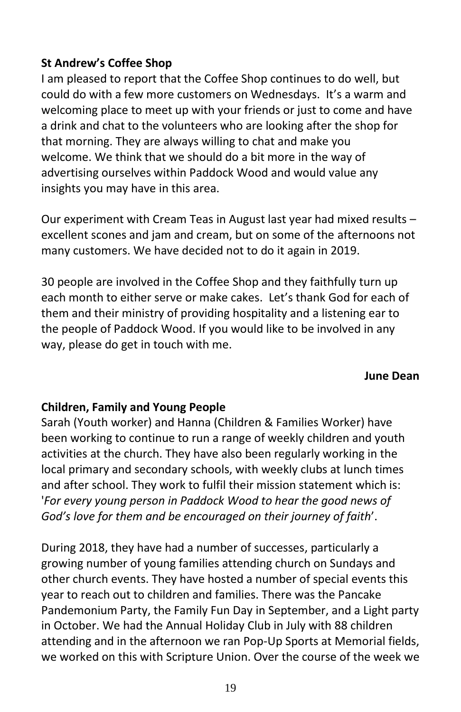## **St Andrew's Coffee Shop**

I am pleased to report that the Coffee Shop continues to do well, but could do with a few more customers on Wednesdays. It's a warm and welcoming place to meet up with your friends or just to come and have a drink and chat to the volunteers who are looking after the shop for that morning. They are always willing to chat and make you welcome. We think that we should do a bit more in the way of advertising ourselves within Paddock Wood and would value any insights you may have in this area.

Our experiment with Cream Teas in August last year had mixed results – excellent scones and jam and cream, but on some of the afternoons not many customers. We have decided not to do it again in 2019.

30 people are involved in the Coffee Shop and they faithfully turn up each month to either serve or make cakes. Let's thank God for each of them and their ministry of providing hospitality and a listening ear to the people of Paddock Wood. If you would like to be involved in any way, please do get in touch with me.

#### **June Dean**

## **Children, Family and Young People**

Sarah (Youth worker) and Hanna (Children & Families Worker) have been working to continue to run a range of weekly children and youth activities at the church. They have also been regularly working in the local primary and secondary schools, with weekly clubs at lunch times and after school. They work to fulfil their mission statement which is: '*For every young person in Paddock Wood to hear the good news of God's love for them and be encouraged on their journey of faith*'.

During 2018, they have had a number of successes, particularly a growing number of young families attending church on Sundays and other church events. They have hosted a number of special events this year to reach out to children and families. There was the Pancake Pandemonium Party, the Family Fun Day in September, and a Light party in October. We had the Annual Holiday Club in July with 88 children attending and in the afternoon we ran Pop-Up Sports at Memorial fields, we worked on this with Scripture Union. Over the course of the week we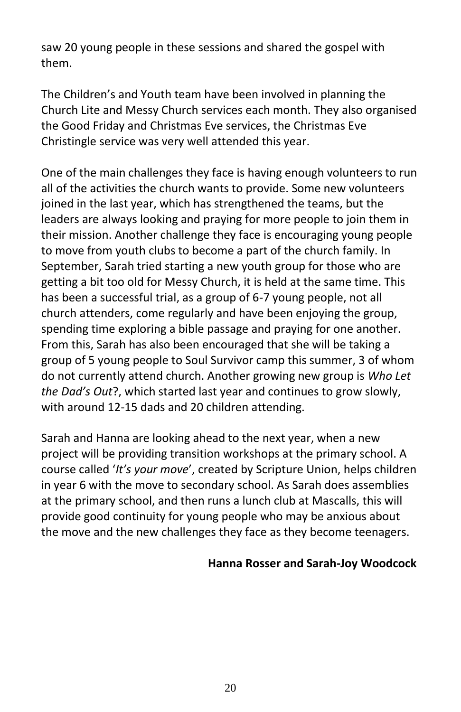saw 20 young people in these sessions and shared the gospel with them.

The Children's and Youth team have been involved in planning the Church Lite and Messy Church services each month. They also organised the Good Friday and Christmas Eve services, the Christmas Eve Christingle service was very well attended this year.

One of the main challenges they face is having enough volunteers to run all of the activities the church wants to provide. Some new volunteers joined in the last year, which has strengthened the teams, but the leaders are always looking and praying for more people to join them in their mission. Another challenge they face is encouraging young people to move from youth clubs to become a part of the church family. In September, Sarah tried starting a new youth group for those who are getting a bit too old for Messy Church, it is held at the same time. This has been a successful trial, as a group of 6-7 young people, not all church attenders, come regularly and have been enjoying the group, spending time exploring a bible passage and praying for one another. From this, Sarah has also been encouraged that she will be taking a group of 5 young people to Soul Survivor camp this summer, 3 of whom do not currently attend church. Another growing new group is *Who Let the Dad's Out*?, which started last year and continues to grow slowly, with around 12-15 dads and 20 children attending.

Sarah and Hanna are looking ahead to the next year, when a new project will be providing transition workshops at the primary school. A course called '*It's your move*', created by Scripture Union, helps children in year 6 with the move to secondary school. As Sarah does assemblies at the primary school, and then runs a lunch club at Mascalls, this will provide good continuity for young people who may be anxious about the move and the new challenges they face as they become teenagers.

#### **Hanna Rosser and Sarah-Joy Woodcock**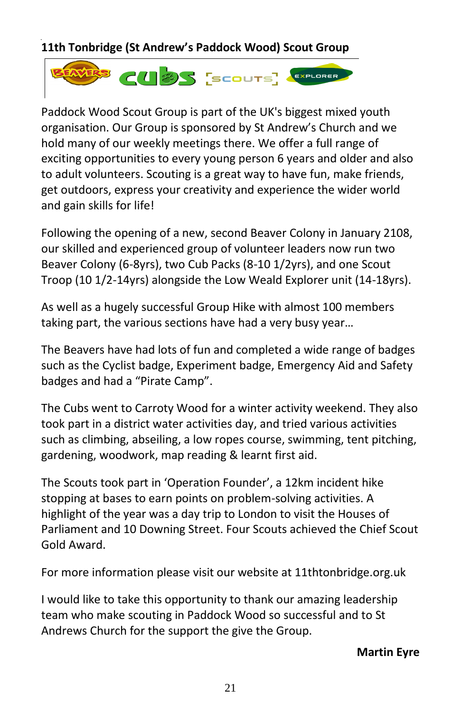#### **11th Tonbridge (St Andrew's Paddock Wood) Scout Group**



Paddock Wood Scout Group is part of the UK's biggest mixed youth organisation. Our Group is sponsored by St Andrew's Church and we hold many of our weekly meetings there. We offer a full range of exciting opportunities to every young person 6 years and older and also to adult volunteers. Scouting is a great way to have fun, make friends, get outdoors, express your creativity and experience the wider world and gain skills for life!

Following the opening of a new, second Beaver Colony in January 2108, our skilled and experienced group of volunteer leaders now run two Beaver Colony (6-8yrs), two Cub Packs (8-10 1/2yrs), and one Scout Troop (10 1/2-14yrs) alongside the Low Weald Explorer unit (14-18yrs).

As well as a hugely successful Group Hike with almost 100 members taking part, the various sections have had a very busy year…

The Beavers have had lots of fun and completed a wide range of badges such as the Cyclist badge, Experiment badge, Emergency Aid and Safety badges and had a "Pirate Camp".

The Cubs went to Carroty Wood for a winter activity weekend. They also took part in a district water activities day, and tried various activities such as climbing, abseiling, a low ropes course, swimming, tent pitching, gardening, woodwork, map reading & learnt first aid.

The Scouts took part in 'Operation Founder', a 12km incident hike stopping at bases to earn points on problem-solving activities. A highlight of the year was a day trip to London to visit the Houses of Parliament and 10 Downing Street. Four Scouts achieved the Chief Scout Gold Award.

For more information please visit our website at 11thtonbridge.org.uk

I would like to take this opportunity to thank our amazing leadership team who make scouting in Paddock Wood so successful and to St Andrews Church for the support the give the Group.

#### **Martin Eyre**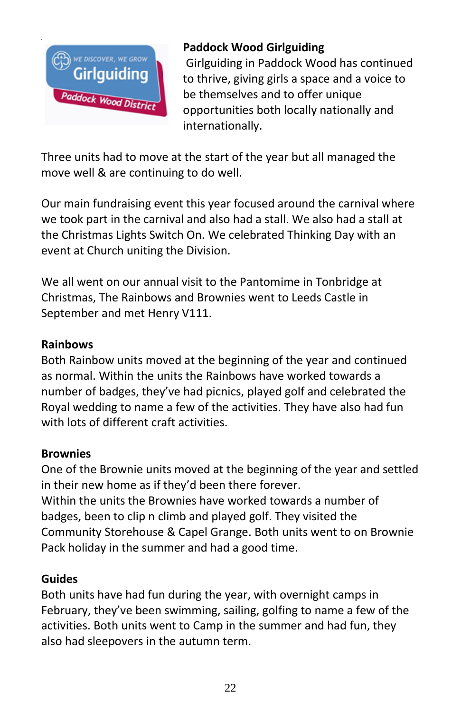

## **Paddock Wood Girlguiding**

Girlguiding in Paddock Wood has continued to thrive, giving girls a space and a voice to be themselves and to offer unique opportunities both locally nationally and internationally.

Three units had to move at the start of the year but all managed the move well & are continuing to do well.

Our main fundraising event this year focused around the carnival where we took part in the carnival and also had a stall. We also had a stall at the Christmas Lights Switch On. We celebrated Thinking Day with an event at Church uniting the Division.

We all went on our annual visit to the Pantomime in Tonbridge at Christmas, The Rainbows and Brownies went to Leeds Castle in September and met Henry V111.

## **Rainbows**

Both Rainbow units moved at the beginning of the year and continued as normal. Within the units the Rainbows have worked towards a number of badges, they've had picnics, played golf and celebrated the Royal wedding to name a few of the activities. They have also had fun with lots of different craft activities.

## **Brownies**

One of the Brownie units moved at the beginning of the year and settled in their new home as if they'd been there forever. Within the units the Brownies have worked towards a number of badges, been to clip n climb and played golf. They visited the Community Storehouse & Capel Grange. Both units went to on Brownie Pack holiday in the summer and had a good time.

# **Guides**

Both units have had fun during the year, with overnight camps in February, they've been swimming, sailing, golfing to name a few of the activities. Both units went to Camp in the summer and had fun, they also had sleepovers in the autumn term.